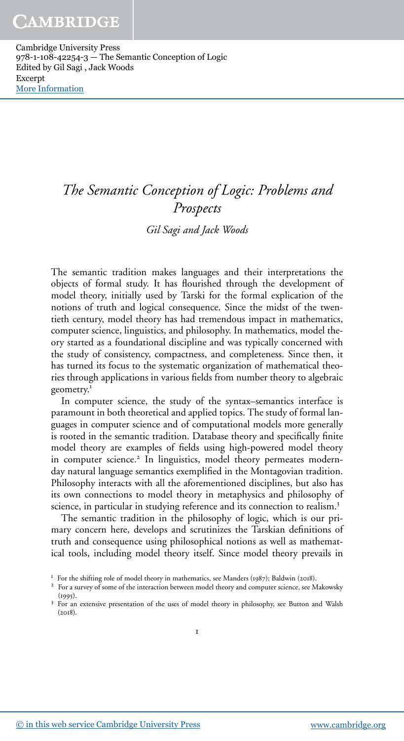# *The Semantic Conception of Logic: Problems and Prospects*

*Gil Sagi and Jack Woods*

The semantic tradition makes languages and their interpretations the objects of formal study. It has flourished through the development of model theory, initially used by Tarski for the formal explication of the notions of truth and logical consequence. Since the midst of the twentieth century, model theory has had tremendous impact in mathematics, computer science, linguistics, and philosophy. In mathematics, model theory started as a foundational discipline and was typically concerned with the study of consistency, compactness, and completeness. Since then, it has turned its focus to the systematic organization of mathematical theories through applications in various fields from number theory to algebraic geometry.<sup>1</sup>

In computer science, the study of the syntax–semantics interface is paramount in both theoretical and applied topics. The study of formal languages in computer science and of computational models more generally is rooted in the semantic tradition. Database theory and specifically finite model theory are examples of fields using high-powered model theory in computer science.<sup>2</sup> In linguistics, model theory permeates modernday natural language semantics exemplified in the Montagovian tradition. Philosophy interacts with all the aforementioned disciplines, but also has its own connections to model theory in metaphysics and philosophy of science, in particular in studying reference and its connection to realism.<sup>3</sup>

The semantic tradition in the philosophy of logic, which is our primary concern here, develops and scrutinizes the Tarskian definitions of truth and consequence using philosophical notions as well as mathematical tools, including model theory itself. Since model theory prevails in

 $F$  For the shifting role of model theory in mathematics, see Manders (1987); Baldwin (2018).

<sup>&</sup>lt;sup>2</sup> For a survey of some of the interaction between model theory and computer science, see Makowsky  $(1995)$ .

<sup>&</sup>lt;sup>3</sup> For an extensive presentation of the uses of model theory in philosophy, see Button and Walsh  $(2018).$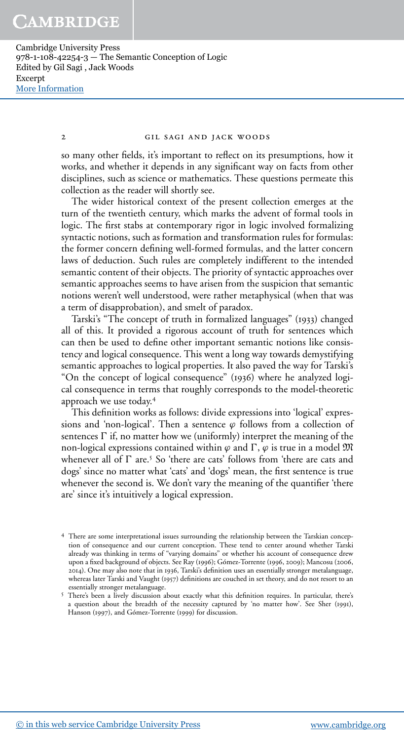#### gil sagi and jack woods

so many other fields, it's important to reflect on its presumptions, how it works, and whether it depends in any significant way on facts from other disciplines, such as science or mathematics. These questions permeate this collection as the reader will shortly see.

The wider historical context of the present collection emerges at the turn of the twentieth century, which marks the advent of formal tools in logic. The first stabs at contemporary rigor in logic involved formalizing syntactic notions, such as formation and transformation rules for formulas: the former concern defining well-formed formulas, and the latter concern laws of deduction. Such rules are completely indifferent to the intended semantic content of their objects. The priority of syntactic approaches over semantic approaches seems to have arisen from the suspicion that semantic notions weren't well understood, were rather metaphysical (when that was a term of disapprobation), and smelt of paradox.

Tarski's "The concept of truth in formalized languages" (1933) changed all of this. It provided a rigorous account of truth for sentences which can then be used to define other important semantic notions like consistency and logical consequence. This went a long way towards demystifying semantic approaches to logical properties. It also paved the way for Tarski's "On the concept of logical consequence" (1936) where he analyzed logical consequence in terms that roughly corresponds to the model-theoretic approach we use today.

This definition works as follows: divide expressions into 'logical' expressions and 'non-logical'. Then a sentence  $\varphi$  follows from a collection of sentences  $\Gamma$  if, no matter how we (uniformly) interpret the meaning of the non-logical expressions contained within  $\varphi$  and  $\Gamma$ ,  $\varphi$  is true in a model  $\mathfrak{M}$ whenever all of  $\Gamma$  are.<sup>5</sup> So 'there are cats' follows from 'there are cats and dogs' since no matter what 'cats' and 'dogs' mean, the first sentence is true whenever the second is. We don't vary the meaning of the quantifier 'there are' since it's intuitively a logical expression.

There are some interpretational issues surrounding the relationship between the Tarskian conception of consequence and our current conception. These tend to center around whether Tarski already was thinking in terms of "varying domains" or whether his account of consequence drew upon a fixed background of objects. See Ray (1996); Gómez-Torrente (1996, 2009); Mancosu (2006, 2014). One may also note that in 1936, Tarski's definition uses an essentially stronger metalanguage, whereas later Tarski and Vaught (1957) definitions are couched in set theory, and do not resort to an essentially stronger metalanguage.

<sup>&</sup>lt;sup>5</sup> There's been a lively discussion about exactly what this definition requires. In particular, there's a question about the breadth of the necessity captured by 'no matter how'. See Sher (1991), Hanson (1997), and Gómez-Torrente (1999) for discussion.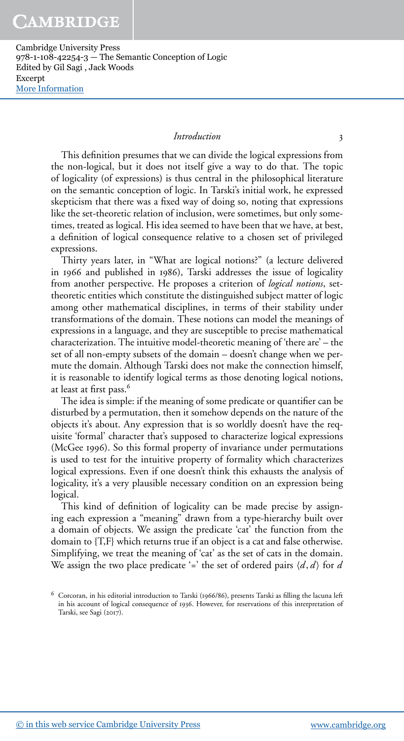# *Introduction*

This definition presumes that we can divide the logical expressions from the non-logical, but it does not itself give a way to do that. The topic of logicality (of expressions) is thus central in the philosophical literature on the semantic conception of logic. In Tarski's initial work, he expressed skepticism that there was a fixed way of doing so, noting that expressions like the set-theoretic relation of inclusion, were sometimes, but only sometimes, treated as logical. His idea seemed to have been that we have, at best, a definition of logical consequence relative to a chosen set of privileged expressions.

Thirty years later, in "What are logical notions?" (a lecture delivered in 1966 and published in 1986), Tarski addresses the issue of logicality from another perspective. He proposes a criterion of *logical notions*, settheoretic entities which constitute the distinguished subject matter of logic among other mathematical disciplines, in terms of their stability under transformations of the domain. These notions can model the meanings of expressions in a language, and they are susceptible to precise mathematical characterization. The intuitive model-theoretic meaning of 'there are' – the set of all non-empty subsets of the domain – doesn't change when we permute the domain. Although Tarski does not make the connection himself, it is reasonable to identify logical terms as those denoting logical notions, at least at first pass.<sup>6</sup>

The idea is simple: if the meaning of some predicate or quantifier can be disturbed by a permutation, then it somehow depends on the nature of the objects it's about. Any expression that is so worldly doesn't have the requisite 'formal' character that's supposed to characterize logical expressions (McGee 1996). So this formal property of invariance under permutations is used to test for the intuitive property of formality which characterizes logical expressions. Even if one doesn't think this exhausts the analysis of logicality, it's a very plausible necessary condition on an expression being logical.

This kind of definition of logicality can be made precise by assigning each expression a "meaning" drawn from a type-hierarchy built over a domain of objects. We assign the predicate 'cat' the function from the domain to {T,F} which returns true if an object is a cat and false otherwise. Simplifying, we treat the meaning of 'cat' as the set of cats in the domain. We assign the two place predicate '=' the set of ordered pairs  $\langle d, d \rangle$  for *d* 

 $6$  Corcoran, in his editorial introduction to Tarski (1966/86), presents Tarski as filling the lacuna left in his account of logical consequence of 1936. However, for reservations of this interpretation of Tarski, see Sagi (2017).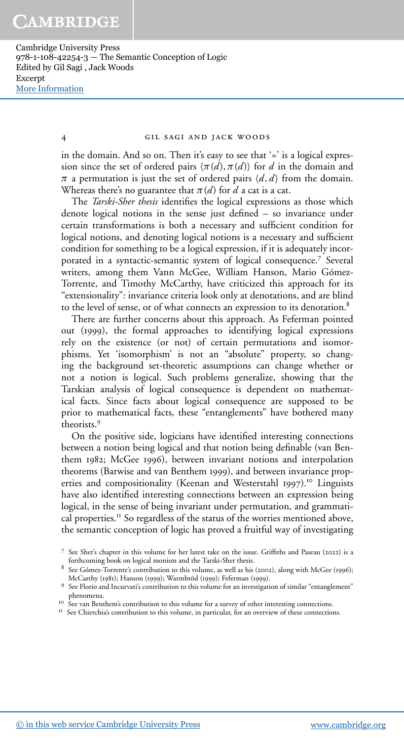gil sagi and jack woods

in the domain. And so on. Then it's easy to see that '=' is a logical expression since the set of ordered pairs  $\langle \pi(d), \pi(d) \rangle$  for *d* in the domain and  $\pi$  a permutation is just the set of ordered pairs  $\langle d, d \rangle$  from the domain. Whereas there's no guarantee that  $\pi(d)$  for *d* a cat is a cat.

The *Tarski-Sher thesis* identifies the logical expressions as those which denote logical notions in the sense just defined – so invariance under certain transformations is both a necessary and sufficient condition for logical notions, and denoting logical notions is a necessary and sufficient condition for something to be a logical expression, if it is adequately incorporated in a syntactic-semantic system of logical consequence.<sup>7</sup> Several writers, among them Vann McGee, William Hanson, Mario Gómez-Torrente, and Timothy McCarthy, have criticized this approach for its "extensionality": invariance criteria look only at denotations, and are blind to the level of sense, or of what connects an expression to its denotation.

There are further concerns about this approach. As Feferman pointed out (1999), the formal approaches to identifying logical expressions rely on the existence (or not) of certain permutations and isomorphisms. Yet 'isomorphism' is not an "absolute" property, so changing the background set-theoretic assumptions can change whether or not a notion is logical. Such problems generalize, showing that the Tarskian analysis of logical consequence is dependent on mathematical facts. Since facts about logical consequence are supposed to be prior to mathematical facts, these "entanglements" have bothered many theorists.

On the positive side, logicians have identified interesting connections between a notion being logical and that notion being definable (van Benthem 1982; McGee 1996), between invariant notions and interpolation theorems (Barwise and van Benthem 1999), and between invariance properties and compositionality (Keenan and Westerstahl 1997).<sup>10</sup> Linguists have also identified interesting connections between an expression being logical, in the sense of being invariant under permutation, and grammatical properties.<sup>11</sup> So regardless of the status of the worries mentioned above, the semantic conception of logic has proved a fruitful way of investigating

<sup>II</sup> See Chierchia's contribution to this volume, in particular, for an overview of these connections.

 $7$  See Sher's chapter in this volume for her latest take on the issue. Griffiths and Paseau (2022) is a forthcoming book on logical monism and the Tarski-Sher thesis.

 $8$  See Gómez-Torrente's contribution to this volume, as well as his (2002), along with McGee (1996); McCarthy (1981); Hanson (1999); Warmbrod (1999); Feferman (1999).

<sup>&</sup>lt;sup>9</sup> See Florio and Incurvati's contribution to this volume for an investigation of similar "entanglement" phenomena. See van Benthem's contribution to this volume for a survey of other interesting connections.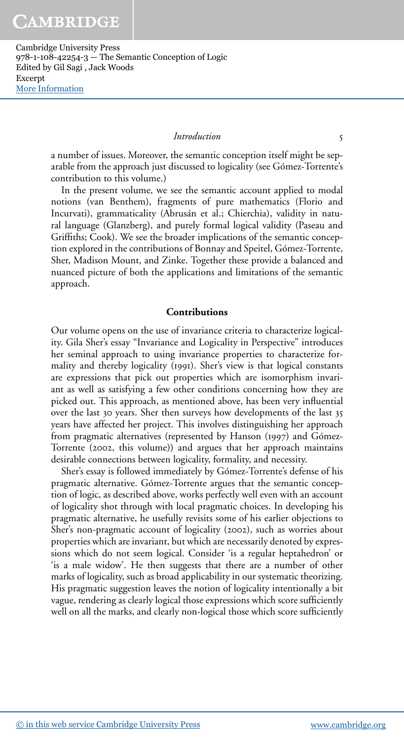## *Introduction*

a number of issues. Moreover, the semantic conception itself might be separable from the approach just discussed to logicality (see Gómez-Torrente's contribution to this volume.)

In the present volume, we see the semantic account applied to modal notions (van Benthem), fragments of pure mathematics (Florio and Incurvati), grammaticality (Abrusán et al.; Chierchia), validity in natural language (Glanzberg), and purely formal logical validity (Paseau and Griffiths; Cook). We see the broader implications of the semantic conception explored in the contributions of Bonnay and Speitel, Gómez-Torrente, Sher, Madison Mount, and Zinke. Together these provide a balanced and nuanced picture of both the applications and limitations of the semantic approach.

## **Contributions**

Our volume opens on the use of invariance criteria to characterize logicality. Gila Sher's essay "Invariance and Logicality in Perspective" introduces her seminal approach to using invariance properties to characterize formality and thereby logicality (1991). Sher's view is that logical constants are expressions that pick out properties which are isomorphism invariant as well as satisfying a few other conditions concerning how they are picked out. This approach, as mentioned above, has been very influential over the last 30 years. Sher then surveys how developments of the last 35 years have affected her project. This involves distinguishing her approach from pragmatic alternatives (represented by Hanson (1997) and Gómez-Torrente (2002, this volume)) and argues that her approach maintains desirable connections between logicality, formality, and necessity.

Sher's essay is followed immediately by Gómez-Torrente's defense of his pragmatic alternative. Gómez-Torrente argues that the semantic conception of logic, as described above, works perfectly well even with an account of logicality shot through with local pragmatic choices. In developing his pragmatic alternative, he usefully revisits some of his earlier objections to Sher's non-pragmatic account of logicality (2002), such as worries about properties which are invariant, but which are necessarily denoted by expressions which do not seem logical. Consider 'is a regular heptahedron' or 'is a male widow'. He then suggests that there are a number of other marks of logicality, such as broad applicability in our systematic theorizing. His pragmatic suggestion leaves the notion of logicality intentionally a bit vague, rendering as clearly logical those expressions which score sufficiently well on all the marks, and clearly non-logical those which score sufficiently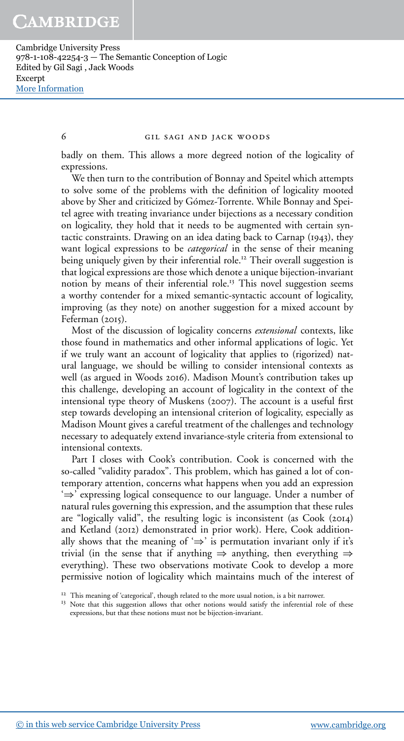#### gil sagi and jack woods

badly on them. This allows a more degreed notion of the logicality of expressions.

We then turn to the contribution of Bonnay and Speitel which attempts to solve some of the problems with the definition of logicality mooted above by Sher and criticized by Gómez-Torrente. While Bonnay and Speitel agree with treating invariance under bijections as a necessary condition on logicality, they hold that it needs to be augmented with certain syntactic constraints. Drawing on an idea dating back to Carnap  $(1943)$ , they want logical expressions to be *categorical* in the sense of their meaning being uniquely given by their inferential role.<sup>12</sup> Their overall suggestion is that logical expressions are those which denote a unique bijection-invariant notion by means of their inferential role.<sup>13</sup> This novel suggestion seems a worthy contender for a mixed semantic-syntactic account of logicality, improving (as they note) on another suggestion for a mixed account by Feferman $(2015)$ .

Most of the discussion of logicality concerns *extensional* contexts, like those found in mathematics and other informal applications of logic. Yet if we truly want an account of logicality that applies to (rigorized) natural language, we should be willing to consider intensional contexts as well (as argued in Woods 2016). Madison Mount's contribution takes up this challenge, developing an account of logicality in the context of the intensional type theory of Muskens (2007). The account is a useful first step towards developing an intensional criterion of logicality, especially as Madison Mount gives a careful treatment of the challenges and technology necessary to adequately extend invariance-style criteria from extensional to intensional contexts.

Part I closes with Cook's contribution. Cook is concerned with the so-called "validity paradox". This problem, which has gained a lot of contemporary attention, concerns what happens when you add an expression '⇒' expressing logical consequence to our language. Under a number of natural rules governing this expression, and the assumption that these rules are "logically valid", the resulting logic is inconsistent (as Cook (2014) and Ketland (2012) demonstrated in prior work). Here, Cook additionally shows that the meaning of ' $\Rightarrow$ ' is permutation invariant only if it's trivial (in the sense that if anything  $\Rightarrow$  anything, then everything  $\Rightarrow$ everything). These two observations motivate Cook to develop a more permissive notion of logicality which maintains much of the interest of

<sup>13</sup> Note that this suggestion allows that other notions would satisfy the inferential role of these expressions, but that these notions must not be bijection-invariant.

<sup>&</sup>lt;sup>12</sup> This meaning of 'categorical', though related to the more usual notion, is a bit narrower.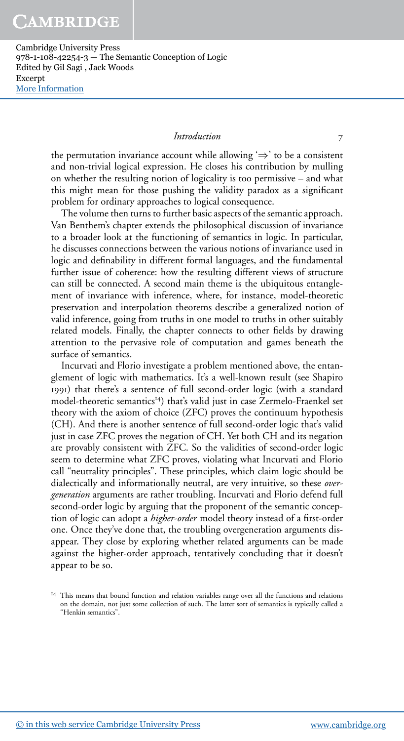# *Introduction*

the permutation invariance account while allowing  $\Rightarrow$  to be a consistent and non-trivial logical expression. He closes his contribution by mulling on whether the resulting notion of logicality is too permissive – and what this might mean for those pushing the validity paradox as a significant problem for ordinary approaches to logical consequence.

The volume then turns to further basic aspects of the semantic approach. Van Benthem's chapter extends the philosophical discussion of invariance to a broader look at the functioning of semantics in logic. In particular, he discusses connections between the various notions of invariance used in logic and definability in different formal languages, and the fundamental further issue of coherence: how the resulting different views of structure can still be connected. A second main theme is the ubiquitous entanglement of invariance with inference, where, for instance, model-theoretic preservation and interpolation theorems describe a generalized notion of valid inference, going from truths in one model to truths in other suitably related models. Finally, the chapter connects to other fields by drawing attention to the pervasive role of computation and games beneath the surface of semantics.

Incurvati and Florio investigate a problem mentioned above, the entanglement of logic with mathematics. It's a well-known result (see Shapiro ) that there's a sentence of full second-order logic (with a standard model-theoretic semantics<sup>14</sup>) that's valid just in case Zermelo-Fraenkel set theory with the axiom of choice (ZFC) proves the continuum hypothesis (CH). And there is another sentence of full second-order logic that's valid just in case ZFC proves the negation of CH. Yet both CH and its negation are provably consistent with ZFC. So the validities of second-order logic seem to determine what ZFC proves, violating what Incurvati and Florio call "neutrality principles". These principles, which claim logic should be dialectically and informationally neutral, are very intuitive, so these *overgeneration* arguments are rather troubling. Incurvati and Florio defend full second-order logic by arguing that the proponent of the semantic conception of logic can adopt a *higher-order* model theory instead of a first-order one. Once they've done that, the troubling overgeneration arguments disappear. They close by exploring whether related arguments can be made against the higher-order approach, tentatively concluding that it doesn't appear to be so.

<sup>&</sup>lt;sup>14</sup> This means that bound function and relation variables range over all the functions and relations on the domain, not just some collection of such. The latter sort of semantics is typically called a "Henkin semantics".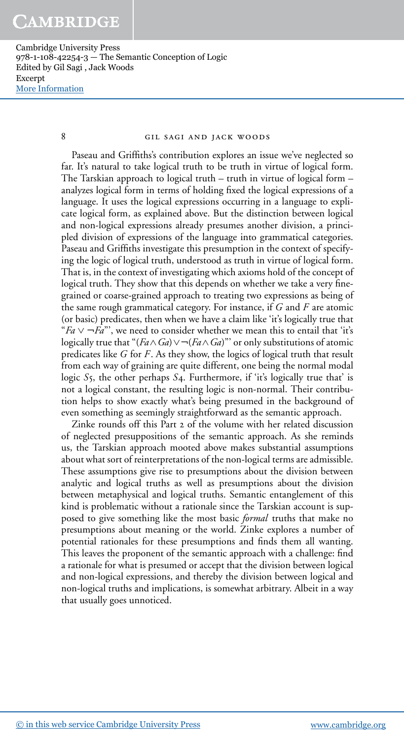### 8 GIL SAGI AND JACK WOODS

Paseau and Griffiths's contribution explores an issue we've neglected so far. It's natural to take logical truth to be truth in virtue of logical form. The Tarskian approach to logical truth – truth in virtue of logical form – analyzes logical form in terms of holding fixed the logical expressions of a language. It uses the logical expressions occurring in a language to explicate logical form, as explained above. But the distinction between logical and non-logical expressions already presumes another division, a principled division of expressions of the language into grammatical categories. Paseau and Griffiths investigate this presumption in the context of specifying the logic of logical truth, understood as truth in virtue of logical form. That is, in the context of investigating which axioms hold of the concept of logical truth. They show that this depends on whether we take a very finegrained or coarse-grained approach to treating two expressions as being of the same rough grammatical category. For instance, if *G* and *F* are atomic (or basic) predicates, then when we have a claim like 'it's logically true that "*Fa* ∨ ¬*Fa*"', we need to consider whether we mean this to entail that 'it's logically true that " $(Fa \wedge Ga) \vee \neg (Fa \wedge Ga)$ " or only substitutions of atomic predicates like *G* for *F*. As they show, the logics of logical truth that result from each way of graining are quite different, one being the normal modal logic *S*<sub>5</sub>, the other perhaps *S*<sub>4</sub>. Furthermore, if 'it's logically true that' is not a logical constant, the resulting logic is non-normal. Their contribution helps to show exactly what's being presumed in the background of even something as seemingly straightforward as the semantic approach.

Zinke rounds off this Part 2 of the volume with her related discussion of neglected presuppositions of the semantic approach. As she reminds us, the Tarskian approach mooted above makes substantial assumptions about what sort of reinterpretations of the non-logical terms are admissible. These assumptions give rise to presumptions about the division between analytic and logical truths as well as presumptions about the division between metaphysical and logical truths. Semantic entanglement of this kind is problematic without a rationale since the Tarskian account is supposed to give something like the most basic *formal* truths that make no presumptions about meaning or the world. Zinke explores a number of potential rationales for these presumptions and finds them all wanting. This leaves the proponent of the semantic approach with a challenge: find a rationale for what is presumed or accept that the division between logical and non-logical expressions, and thereby the division between logical and non-logical truths and implications, is somewhat arbitrary. Albeit in a way that usually goes unnoticed.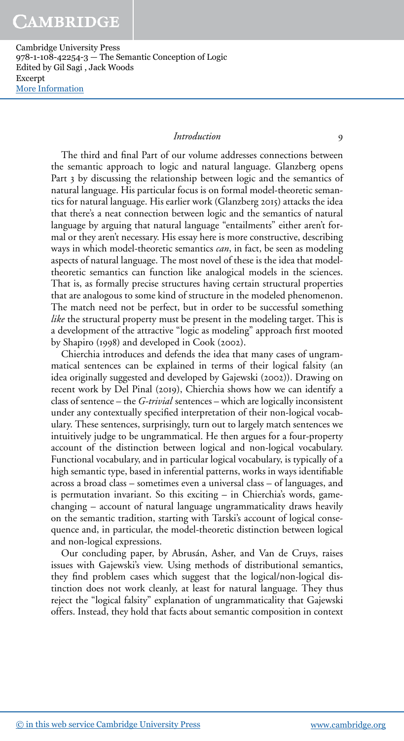# *Introduction*

The third and final Part of our volume addresses connections between the semantic approach to logic and natural language. Glanzberg opens Part 3 by discussing the relationship between logic and the semantics of natural language. His particular focus is on formal model-theoretic semantics for natural language. His earlier work (Glanzberg 2015) attacks the idea that there's a neat connection between logic and the semantics of natural language by arguing that natural language "entailments" either aren't formal or they aren't necessary. His essay here is more constructive, describing ways in which model-theoretic semantics *can*, in fact, be seen as modeling aspects of natural language. The most novel of these is the idea that modeltheoretic semantics can function like analogical models in the sciences. That is, as formally precise structures having certain structural properties that are analogous to some kind of structure in the modeled phenomenon. The match need not be perfect, but in order to be successful something *like* the structural property must be present in the modeling target. This is a development of the attractive "logic as modeling" approach first mooted by Shapiro (1998) and developed in Cook (2002).

Chierchia introduces and defends the idea that many cases of ungrammatical sentences can be explained in terms of their logical falsity (an idea originally suggested and developed by Gajewski (2002)). Drawing on recent work by Del Pinal (2019), Chierchia shows how we can identify a class of sentence – the *G-trivial* sentences – which are logically inconsistent under any contextually specified interpretation of their non-logical vocabulary. These sentences, surprisingly, turn out to largely match sentences we intuitively judge to be ungrammatical. He then argues for a four-property account of the distinction between logical and non-logical vocabulary. Functional vocabulary, and in particular logical vocabulary, is typically of a high semantic type, based in inferential patterns, works in ways identifiable across a broad class – sometimes even a universal class – of languages, and is permutation invariant. So this exciting – in Chierchia's words, gamechanging – account of natural language ungrammaticality draws heavily on the semantic tradition, starting with Tarski's account of logical consequence and, in particular, the model-theoretic distinction between logical and non-logical expressions.

Our concluding paper, by Abrusán, Asher, and Van de Cruys, raises issues with Gajewski's view. Using methods of distributional semantics, they find problem cases which suggest that the logical/non-logical distinction does not work cleanly, at least for natural language. They thus reject the "logical falsity" explanation of ungrammaticality that Gajewski offers. Instead, they hold that facts about semantic composition in context